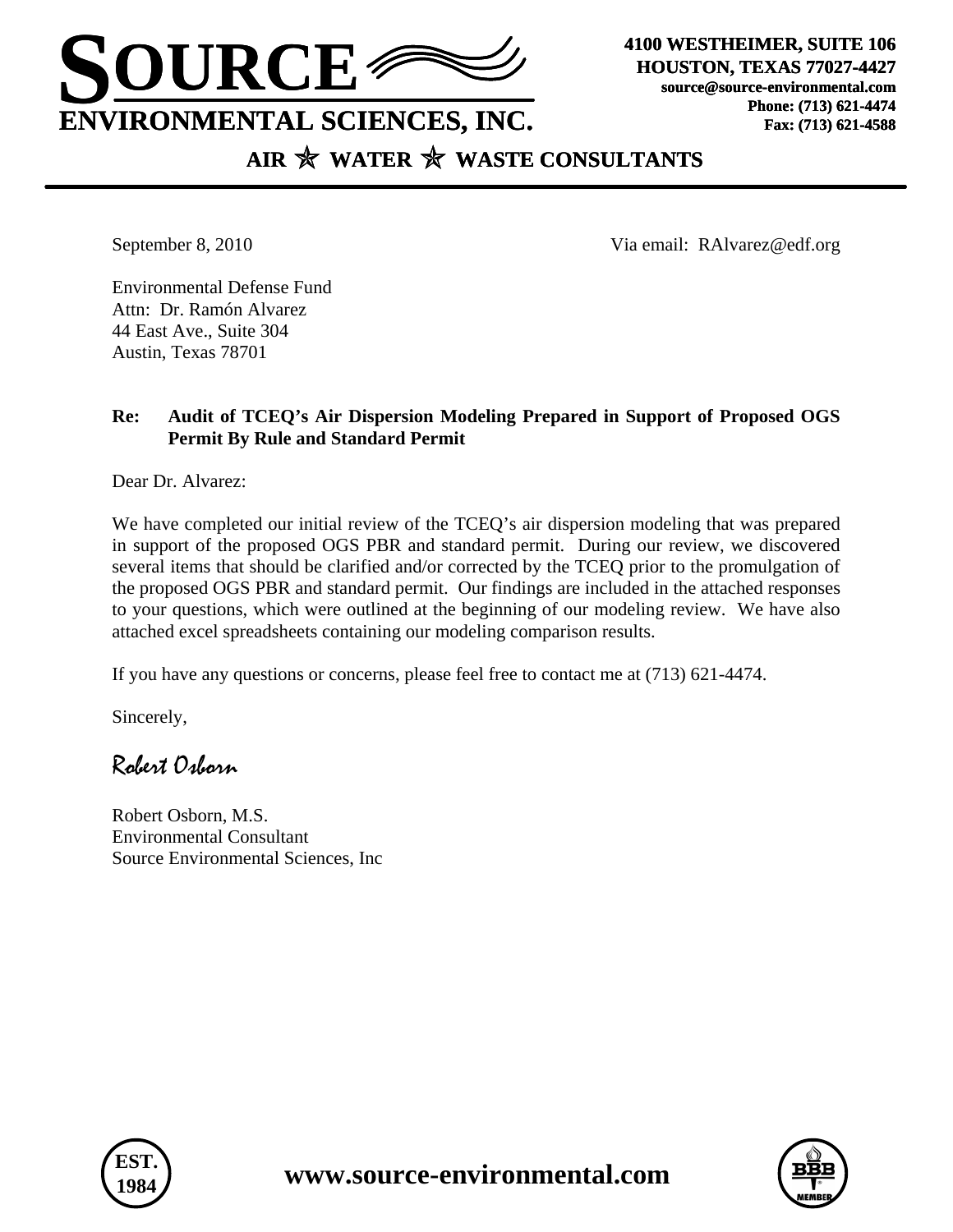

**HOUSTON, TEXAS 77027-4427 source@source-environmental.com Phone: (713) 621-4474 Fax: (713) 621-4588**

# AIR  $\mathbb{\hat{X}}$  WATER  $\mathbb{\hat{X}}$  WASTE CONSULTANTS

September 8, 2010 Via email: RAlvarez@edf.org

Environmental Defense Fund Attn: Dr. Ramón Alvarez 44 East Ave., Suite 304 Austin, Texas 78701

### **Re: Audit of TCEQ's Air Dispersion Modeling Prepared in Support of Proposed OGS Permit By Rule and Standard Permit**

Dear Dr. Alvarez:

We have completed our initial review of the TCEQ's air dispersion modeling that was prepared in support of the proposed OGS PBR and standard permit. During our review, we discovered several items that should be clarified and/or corrected by the TCEQ prior to the promulgation of the proposed OGS PBR and standard permit. Our findings are included in the attached responses to your questions, which were outlined at the beginning of our modeling review. We have also attached excel spreadsheets containing our modeling comparison results.

If you have any questions or concerns, please feel free to contact me at (713) 621-4474.

Sincerely,

## Robert Osborn

Robert Osborn, M.S. Environmental Consultant Source Environmental Sciences, Inc



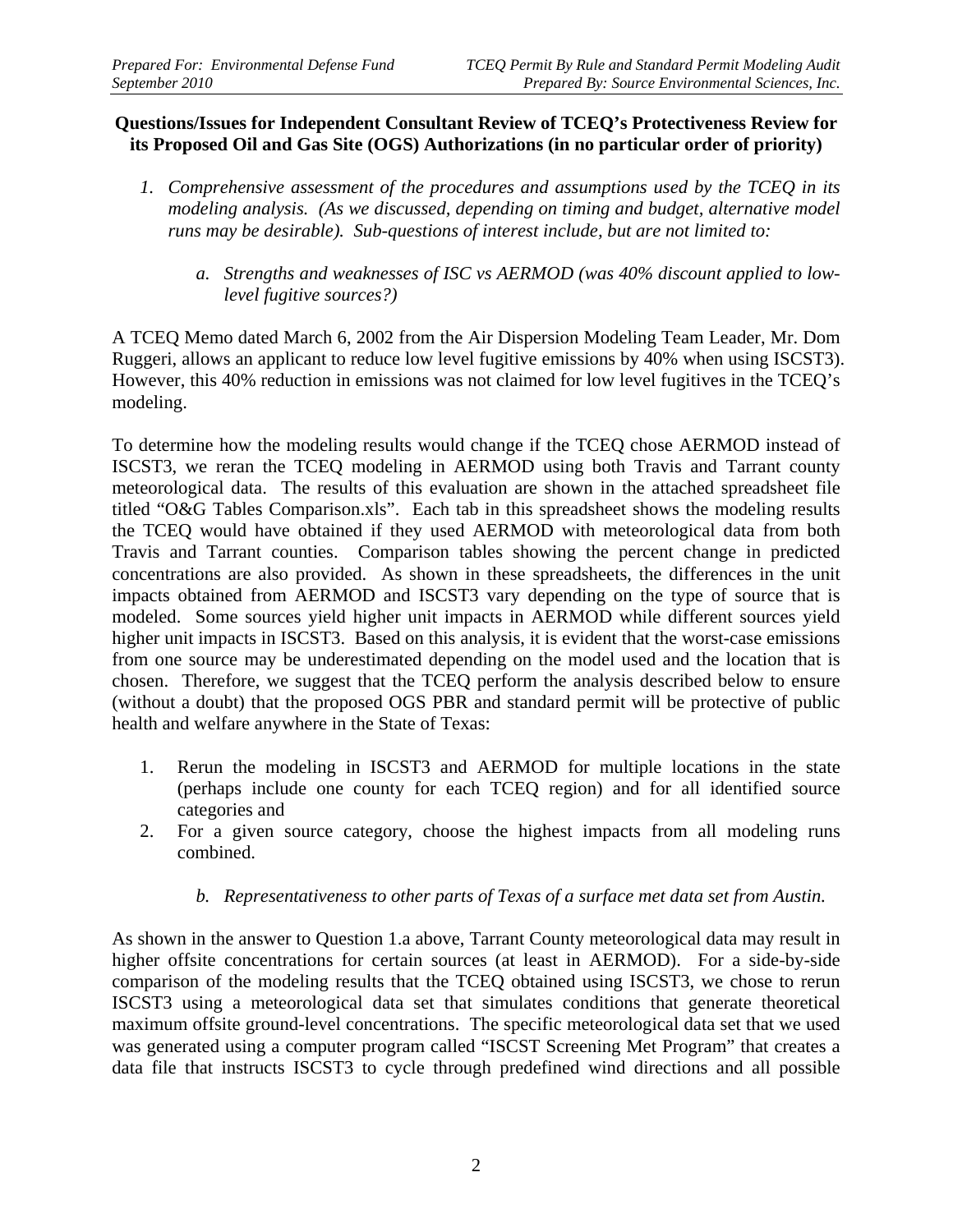#### **Questions/Issues for Independent Consultant Review of TCEQ's Protectiveness Review for its Proposed Oil and Gas Site (OGS) Authorizations (in no particular order of priority)**

- *1. Comprehensive assessment of the procedures and assumptions used by the TCEQ in its modeling analysis. (As we discussed, depending on timing and budget, alternative model runs may be desirable). Sub-questions of interest include, but are not limited to:* 
	- *a. Strengths and weaknesses of ISC vs AERMOD (was 40% discount applied to lowlevel fugitive sources?)*

A TCEQ Memo dated March 6, 2002 from the Air Dispersion Modeling Team Leader, Mr. Dom Ruggeri, allows an applicant to reduce low level fugitive emissions by 40% when using ISCST3). However, this 40% reduction in emissions was not claimed for low level fugitives in the TCEQ's modeling.

To determine how the modeling results would change if the TCEQ chose AERMOD instead of ISCST3, we reran the TCEQ modeling in AERMOD using both Travis and Tarrant county meteorological data. The results of this evaluation are shown in the attached spreadsheet file titled "O&G Tables Comparison.xls". Each tab in this spreadsheet shows the modeling results the TCEQ would have obtained if they used AERMOD with meteorological data from both Travis and Tarrant counties. Comparison tables showing the percent change in predicted concentrations are also provided. As shown in these spreadsheets, the differences in the unit impacts obtained from AERMOD and ISCST3 vary depending on the type of source that is modeled. Some sources yield higher unit impacts in AERMOD while different sources yield higher unit impacts in ISCST3. Based on this analysis, it is evident that the worst-case emissions from one source may be underestimated depending on the model used and the location that is chosen. Therefore, we suggest that the TCEQ perform the analysis described below to ensure (without a doubt) that the proposed OGS PBR and standard permit will be protective of public health and welfare anywhere in the State of Texas:

- 1. Rerun the modeling in ISCST3 and AERMOD for multiple locations in the state (perhaps include one county for each TCEQ region) and for all identified source categories and
- 2. For a given source category, choose the highest impacts from all modeling runs combined.
	- *b. Representativeness to other parts of Texas of a surface met data set from Austin.*

As shown in the answer to Question 1.a above, Tarrant County meteorological data may result in higher offsite concentrations for certain sources (at least in AERMOD). For a side-by-side comparison of the modeling results that the TCEQ obtained using ISCST3, we chose to rerun ISCST3 using a meteorological data set that simulates conditions that generate theoretical maximum offsite ground-level concentrations. The specific meteorological data set that we used was generated using a computer program called "ISCST Screening Met Program" that creates a data file that instructs ISCST3 to cycle through predefined wind directions and all possible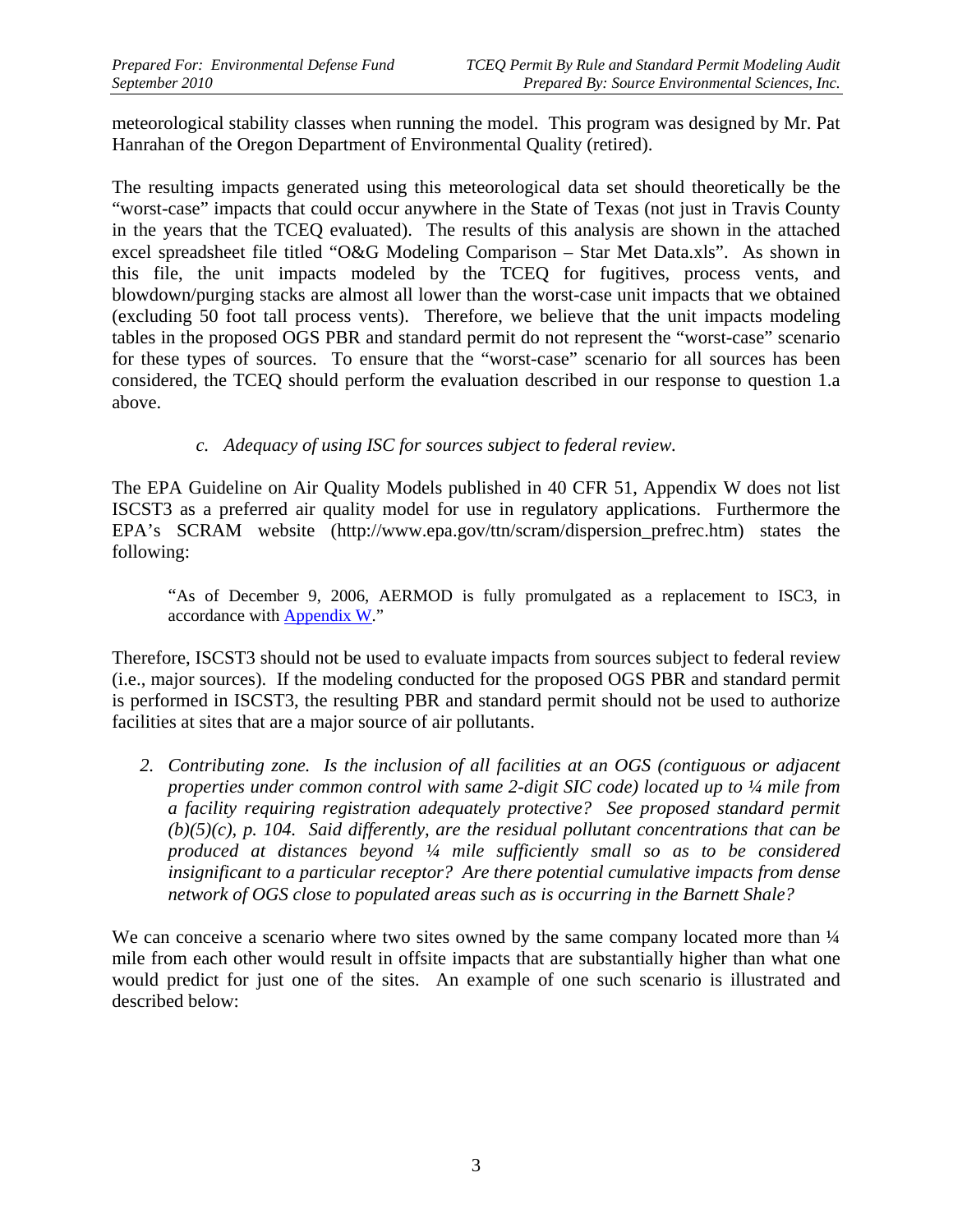meteorological stability classes when running the model. This program was designed by Mr. Pat Hanrahan of the Oregon Department of Environmental Quality (retired).

The resulting impacts generated using this meteorological data set should theoretically be the "worst-case" impacts that could occur anywhere in the State of Texas (not just in Travis County in the years that the TCEQ evaluated). The results of this analysis are shown in the attached excel spreadsheet file titled "O&G Modeling Comparison – Star Met Data.xls". As shown in this file, the unit impacts modeled by the TCEQ for fugitives, process vents, and blowdown/purging stacks are almost all lower than the worst-case unit impacts that we obtained (excluding 50 foot tall process vents). Therefore, we believe that the unit impacts modeling tables in the proposed OGS PBR and standard permit do not represent the "worst-case" scenario for these types of sources. To ensure that the "worst-case" scenario for all sources has been considered, the TCEQ should perform the evaluation described in our response to question 1.a above.

*c. Adequacy of using ISC for sources subject to federal review.* 

The EPA Guideline on Air Quality Models published in 40 CFR 51, Appendix W does not list ISCST3 as a preferred air quality model for use in regulatory applications. Furthermore the EPA's SCRAM website (http://www.epa.gov/ttn/scram/dispersion\_prefrec.htm) states the following:

 "As of December 9, 2006, AERMOD is fully promulgated as a replacement to ISC3, in accordance with **Appendix W."** 

Therefore, ISCST3 should not be used to evaluate impacts from sources subject to federal review (i.e., major sources). If the modeling conducted for the proposed OGS PBR and standard permit is performed in ISCST3, the resulting PBR and standard permit should not be used to authorize facilities at sites that are a major source of air pollutants.

2. Contributing zone. Is the inclusion of all facilities at an OGS (contiguous or adjacent *properties under common control with same 2-digit SIC code) located up to ¼ mile from a facility requiring registration adequately protective? See proposed standard permit (b)(5)(c), p. 104. Said differently, are the residual pollutant concentrations that can be produced at distances beyond ¼ mile sufficiently small so as to be considered insignificant to a particular receptor? Are there potential cumulative impacts from dense network of OGS close to populated areas such as is occurring in the Barnett Shale?* 

We can conceive a scenario where two sites owned by the same company located more than  $\frac{1}{4}$ mile from each other would result in offsite impacts that are substantially higher than what one would predict for just one of the sites. An example of one such scenario is illustrated and described below: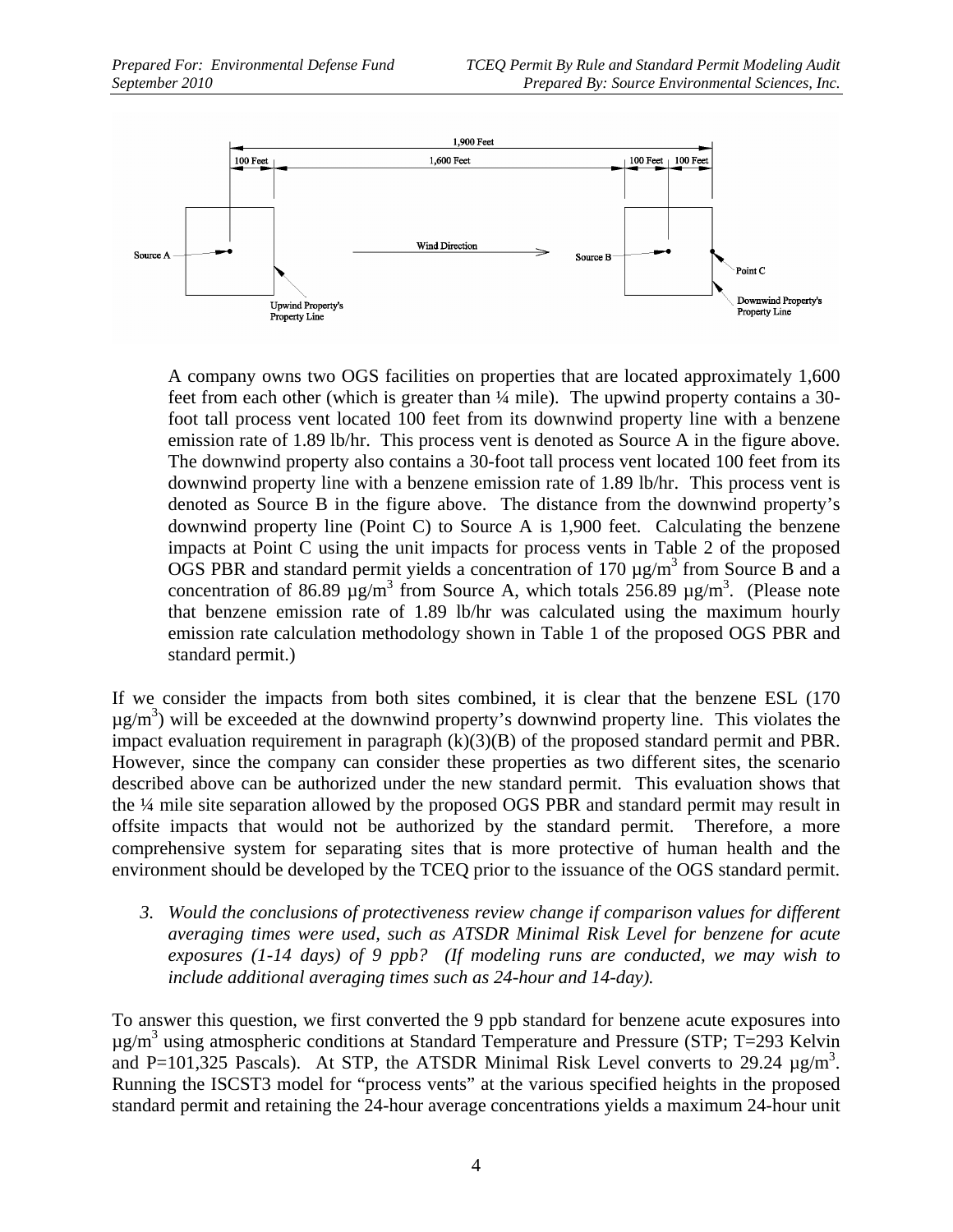

A company owns two OGS facilities on properties that are located approximately 1,600 feet from each other (which is greater than ¼ mile). The upwind property contains a 30 foot tall process vent located 100 feet from its downwind property line with a benzene emission rate of 1.89 lb/hr. This process vent is denoted as Source A in the figure above. The downwind property also contains a 30-foot tall process vent located 100 feet from its downwind property line with a benzene emission rate of 1.89 lb/hr. This process vent is denoted as Source B in the figure above. The distance from the downwind property's downwind property line (Point C) to Source A is 1,900 feet. Calculating the benzene impacts at Point C using the unit impacts for process vents in Table 2 of the proposed OGS PBR and standard permit yields a concentration of  $170 \mu g/m<sup>3</sup>$  from Source B and a concentration of 86.89  $\mu$ g/m<sup>3</sup> from Source A, which totals 256.89  $\mu$ g/m<sup>3</sup>. (Please note that benzene emission rate of 1.89 lb/hr was calculated using the maximum hourly emission rate calculation methodology shown in Table 1 of the proposed OGS PBR and standard permit.)

If we consider the impacts from both sites combined, it is clear that the benzene ESL (170  $\mu$ g/m<sup>3</sup>) will be exceeded at the downwind property's downwind property line. This violates the impact evaluation requirement in paragraph (k)(3)(B) of the proposed standard permit and PBR. However, since the company can consider these properties as two different sites, the scenario described above can be authorized under the new standard permit. This evaluation shows that the ¼ mile site separation allowed by the proposed OGS PBR and standard permit may result in offsite impacts that would not be authorized by the standard permit. Therefore, a more comprehensive system for separating sites that is more protective of human health and the environment should be developed by the TCEQ prior to the issuance of the OGS standard permit.

*3. Would the conclusions of protectiveness review change if comparison values for different averaging times were used, such as ATSDR Minimal Risk Level for benzene for acute exposures (1-14 days) of 9 ppb? (If modeling runs are conducted, we may wish to include additional averaging times such as 24-hour and 14-day).* 

To answer this question, we first converted the 9 ppb standard for benzene acute exposures into  $\mu$ g/m<sup>3</sup> using atmospheric conditions at Standard Temperature and Pressure (STP; T=293 Kelvin and P=101,325 Pascals). At STP, the ATSDR Minimal Risk Level converts to 29.24  $\mu$ g/m<sup>3</sup>. Running the ISCST3 model for "process vents" at the various specified heights in the proposed standard permit and retaining the 24-hour average concentrations yields a maximum 24-hour unit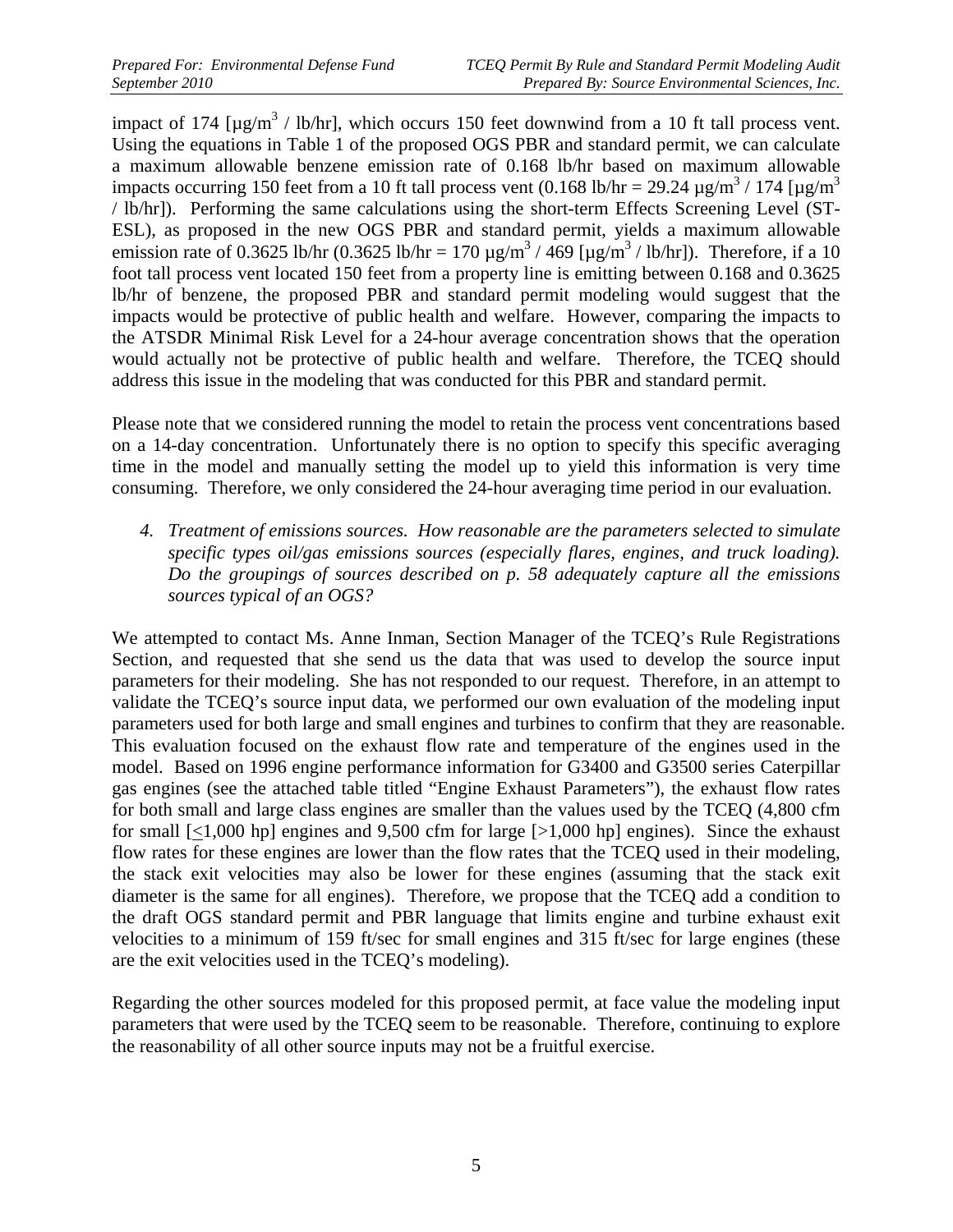impact of 174 [ $\mu$ g/m<sup>3</sup> / lb/hr], which occurs 150 feet downwind from a 10 ft tall process vent. Using the equations in Table 1 of the proposed OGS PBR and standard permit, we can calculate a maximum allowable benzene emission rate of 0.168 lb/hr based on maximum allowable impacts occurring 150 feet from a 10 ft tall process vent (0.168 lb/hr = 29.24  $\mu$ g/m<sup>3</sup> / 174 [ $\mu$ g/m<sup>3</sup> / lb/hr]). Performing the same calculations using the short-term Effects Screening Level (ST-ESL), as proposed in the new OGS PBR and standard permit, yields a maximum allowable emission rate of 0.3625 lb/hr (0.3625 lb/hr = 170  $\mu$ g/m<sup>3</sup> / 469 [ $\mu$ g/m<sup>3</sup> / lb/hr]). Therefore, if a 10 foot tall process vent located 150 feet from a property line is emitting between 0.168 and 0.3625 lb/hr of benzene, the proposed PBR and standard permit modeling would suggest that the impacts would be protective of public health and welfare. However, comparing the impacts to the ATSDR Minimal Risk Level for a 24-hour average concentration shows that the operation would actually not be protective of public health and welfare. Therefore, the TCEQ should address this issue in the modeling that was conducted for this PBR and standard permit.

Please note that we considered running the model to retain the process vent concentrations based on a 14-day concentration. Unfortunately there is no option to specify this specific averaging time in the model and manually setting the model up to yield this information is very time consuming. Therefore, we only considered the 24-hour averaging time period in our evaluation.

*4. Treatment of emissions sources. How reasonable are the parameters selected to simulate specific types oil/gas emissions sources (especially flares, engines, and truck loading). Do the groupings of sources described on p. 58 adequately capture all the emissions sources typical of an OGS?* 

We attempted to contact Ms. Anne Inman, Section Manager of the TCEQ's Rule Registrations Section, and requested that she send us the data that was used to develop the source input parameters for their modeling. She has not responded to our request. Therefore, in an attempt to validate the TCEQ's source input data, we performed our own evaluation of the modeling input parameters used for both large and small engines and turbines to confirm that they are reasonable. This evaluation focused on the exhaust flow rate and temperature of the engines used in the model. Based on 1996 engine performance information for G3400 and G3500 series Caterpillar gas engines (see the attached table titled "Engine Exhaust Parameters"), the exhaust flow rates for both small and large class engines are smaller than the values used by the TCEQ (4,800 cfm for small  $\lfloor$ <1,000 hp] engines and 9,500 cfm for large  $\lfloor$ >1,000 hp] engines). Since the exhaust flow rates for these engines are lower than the flow rates that the TCEQ used in their modeling, the stack exit velocities may also be lower for these engines (assuming that the stack exit diameter is the same for all engines). Therefore, we propose that the TCEQ add a condition to the draft OGS standard permit and PBR language that limits engine and turbine exhaust exit velocities to a minimum of 159 ft/sec for small engines and 315 ft/sec for large engines (these are the exit velocities used in the TCEQ's modeling).

Regarding the other sources modeled for this proposed permit, at face value the modeling input parameters that were used by the TCEQ seem to be reasonable. Therefore, continuing to explore the reasonability of all other source inputs may not be a fruitful exercise.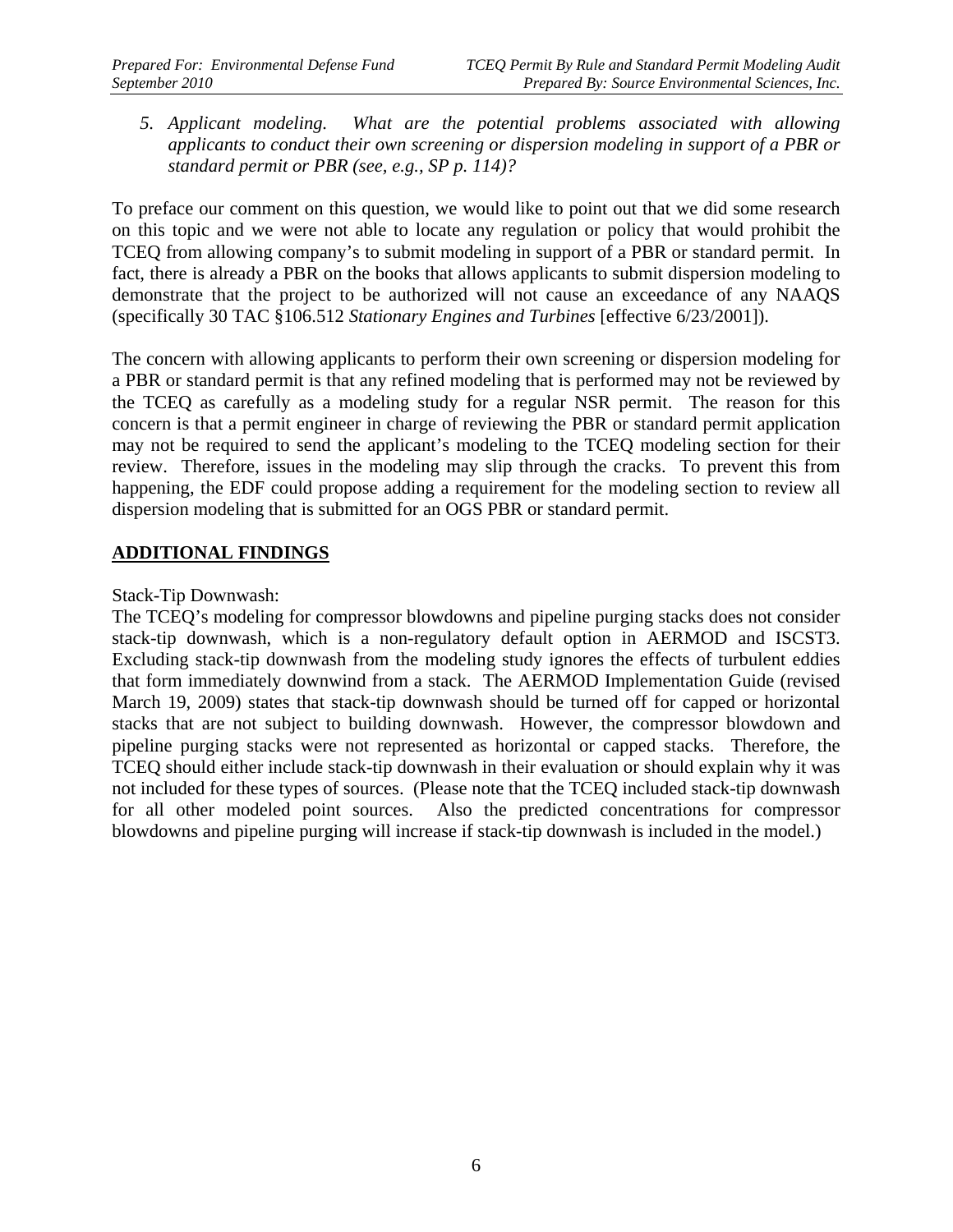*5. Applicant modeling. What are the potential problems associated with allowing applicants to conduct their own screening or dispersion modeling in support of a PBR or standard permit or PBR (see, e.g., SP p. 114)?* 

To preface our comment on this question, we would like to point out that we did some research on this topic and we were not able to locate any regulation or policy that would prohibit the TCEQ from allowing company's to submit modeling in support of a PBR or standard permit. In fact, there is already a PBR on the books that allows applicants to submit dispersion modeling to demonstrate that the project to be authorized will not cause an exceedance of any NAAQS (specifically 30 TAC §106.512 *Stationary Engines and Turbines* [effective 6/23/2001]).

The concern with allowing applicants to perform their own screening or dispersion modeling for a PBR or standard permit is that any refined modeling that is performed may not be reviewed by the TCEQ as carefully as a modeling study for a regular NSR permit. The reason for this concern is that a permit engineer in charge of reviewing the PBR or standard permit application may not be required to send the applicant's modeling to the TCEQ modeling section for their review. Therefore, issues in the modeling may slip through the cracks. To prevent this from happening, the EDF could propose adding a requirement for the modeling section to review all dispersion modeling that is submitted for an OGS PBR or standard permit.

### **ADDITIONAL FINDINGS**

Stack-Tip Downwash:

The TCEQ's modeling for compressor blowdowns and pipeline purging stacks does not consider stack-tip downwash, which is a non-regulatory default option in AERMOD and ISCST3. Excluding stack-tip downwash from the modeling study ignores the effects of turbulent eddies that form immediately downwind from a stack. The AERMOD Implementation Guide (revised March 19, 2009) states that stack-tip downwash should be turned off for capped or horizontal stacks that are not subject to building downwash. However, the compressor blowdown and pipeline purging stacks were not represented as horizontal or capped stacks. Therefore, the TCEQ should either include stack-tip downwash in their evaluation or should explain why it was not included for these types of sources. (Please note that the TCEQ included stack-tip downwash for all other modeled point sources. Also the predicted concentrations for compressor blowdowns and pipeline purging will increase if stack-tip downwash is included in the model.)